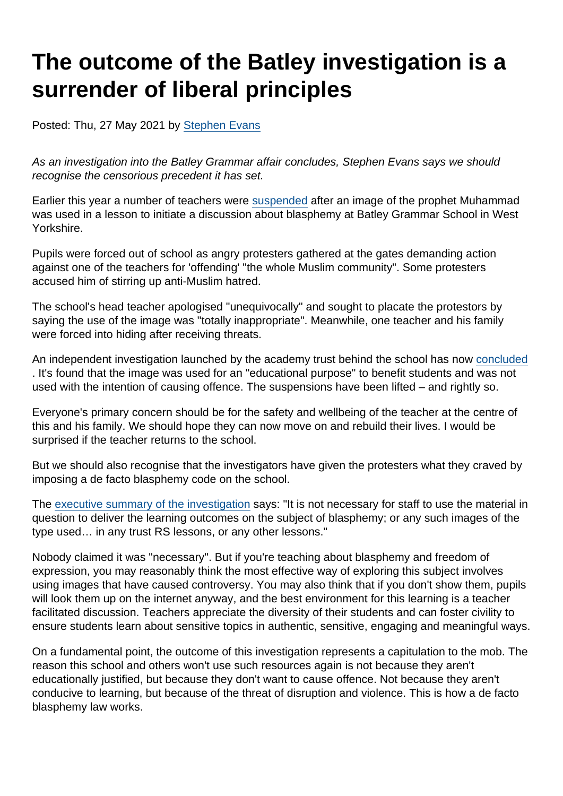# The outcome of the Batley investigation is a surrender of liberal principles

Posted: Thu, 27 May 2021 by [Stephen Evans](https://www.secularism.org.uk/opinion/authors/845)

As an investigation into the Batley Grammar affair concludes, Stephen Evans says we should recognise the censorious precedent it has set.

Earlier this year a number of teachers were [suspended](https://www.secularism.org.uk/news/2021/03/teacher-suspended-after-using-muhammad-cartoon-in-class-on-blasphemy) after an image of the prophet Muhammad was used in a lesson to initiate a discussion about blasphemy at Batley Grammar School in West Yorkshire.

Pupils were forced out of school as angry protesters gathered at the gates demanding action against one of the teachers for 'offending' "the whole Muslim community". Some protesters accused him of stirring up anti-Muslim hatred.

The school's head teacher apologised "unequivocally" and sought to placate the protestors by saying the use of the image was "totally inappropriate". Meanwhile, one teacher and his family were forced into hiding after receiving threats.

An independent investigation launched by the academy trust behind the school has now [concluded](https://www.telegraph.co.uk/news/2021/05/26/batley-grammar-teacher-allowed-back-school-prophet-mohammed/) . It's found that the image was used for an "educational purpose" to benefit students and was not used with the intention of causing offence. The suspensions have been lifted – and rightly so.

Everyone's primary concern should be for the safety and wellbeing of the teacher at the centre of this and his family. We should hope they can now move on and rebuild their lives. I would be surprised if the teacher returns to the school.

But we should also recognise that the investigators have given the protesters what they craved by imposing a de facto blasphemy code on the school.

The [executive summary of the investigation](https://batleymat.co.uk/wp-content/uploads/ExecutiveSummaryoftheIndependentInvestigationatBGS26052021.pdf) says: "It is not necessary for staff to use the material in question to deliver the learning outcomes on the subject of blasphemy; or any such images of the type used… in any trust RS lessons, or any other lessons."

Nobody claimed it was "necessary". But if you're teaching about blasphemy and freedom of expression, you may reasonably think the most effective way of exploring this subject involves using images that have caused controversy. You may also think that if you don't show them, pupils will look them up on the internet anyway, and the best environment for this learning is a teacher facilitated discussion. Teachers appreciate the diversity of their students and can foster civility to ensure students learn about sensitive topics in authentic, sensitive, engaging and meaningful ways.

On a fundamental point, the outcome of this investigation represents a capitulation to the mob. The reason this school and others won't use such resources again is not because they aren't educationally justified, but because they don't want to cause offence. Not because they aren't conducive to learning, but because of the threat of disruption and violence. This is how a de facto blasphemy law works.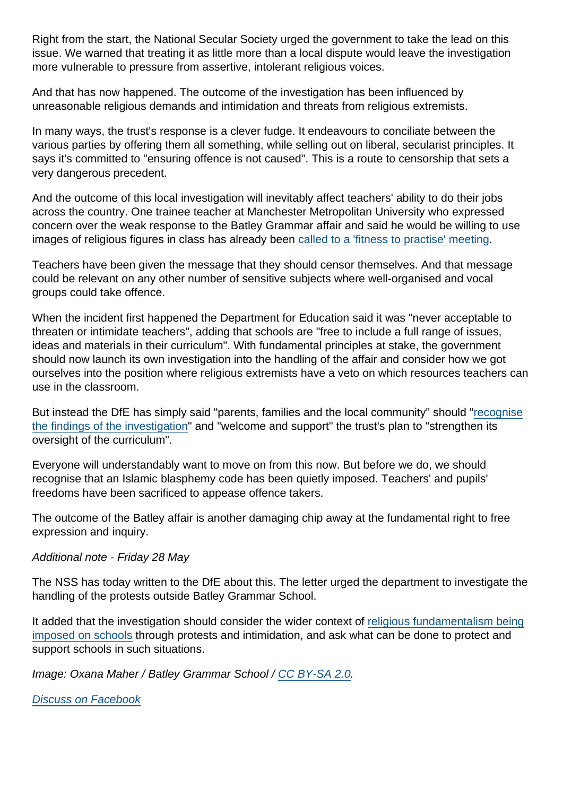Right from the start, the National Secular Society urged the government to take the lead on this issue. We warned that treating it as little more than a local dispute would leave the investigation more vulnerable to pressure from assertive, intolerant religious voices.

And that has now happened. The outcome of the investigation has been influenced by unreasonable religious demands and intimidation and threats from religious extremists.

In many ways, the trust's response is a clever fudge. It endeavours to conciliate between the various parties by offering them all something, while selling out on liberal, secularist principles. It says it's committed to "ensuring offence is not caused". This is a route to censorship that sets a very dangerous precedent.

And the outcome of this local investigation will inevitably affect teachers' ability to do their jobs across the country. One trainee teacher at Manchester Metropolitan University who expressed concern over the weak response to the Batley Grammar affair and said he would be willing to use images of religious figures in class has already been [called to a 'fitness to practise' meeting](https://www.telegraph.co.uk/news/2021/05/12/exclusive-trainee-fighting-career-backing-teacher-showed-mohammed/).

Teachers have been given the message that they should censor themselves. And that message could be relevant on any other number of sensitive subjects where well-organised and vocal groups could take offence.

When the incident first happened the Department for Education said it was "never acceptable to threaten or intimidate teachers", adding that schools are "free to include a full range of issues, ideas and materials in their curriculum". With fundamental principles at stake, the government should now launch its own investigation into the handling of the affair and consider how we got ourselves into the position where religious extremists have a veto on which resources teachers can use in the classroom.

But instead the DfE has simply said "parents, families and the local community" should "[recognise](https://news.sky.com/story/batley-grammar-school-teacher-suspended-over-prophet-mohammed-image-row-can-return-to-classroom-12318003) [the findings of the investigation"](https://news.sky.com/story/batley-grammar-school-teacher-suspended-over-prophet-mohammed-image-row-can-return-to-classroom-12318003) and "welcome and support" the trust's plan to "strengthen its oversight of the curriculum".

Everyone will understandably want to move on from this now. But before we do, we should recognise that an Islamic blasphemy code has been quietly imposed. Teachers' and pupils' freedoms have been sacrificed to appease offence takers.

The outcome of the Batley affair is another damaging chip away at the fundamental right to free expression and inquiry.

Additional note - Friday 28 May

The NSS has today written to the DfE about this. The letter urged the department to investigate the handling of the protests outside Batley Grammar School.

It added that the investigation should consider the wider context of [religious fundamentalism being](https://www.secularism.org.uk/opinion/2021/05/the-dfe-must-show-leadership-when-religious-hardliners-turn-on-schools) [imposed on schools](https://www.secularism.org.uk/opinion/2021/05/the-dfe-must-show-leadership-when-religious-hardliners-turn-on-schools) through protests and intimidation, and ask what can be done to protect and support schools in such situations.

Image: Oxana Maher / Batley Grammar School / [CC BY-SA 2.0.](https://creativecommons.org/licenses/by-sa/2.0/)

[Discuss on Facebook](https://www.facebook.com/NationalSecularSociety/posts/4018593484875639?__cft__[0]=AZXsWKdcHonMWupZ-Itn81uNO3aYWATI65lsEhQB-pbmsCzqdIjtE-vR9SUSMdon6RZpnIEwEmWnDPRIliZ3HcK97HiHMlb7S6JoYiNteZRoYXtzBBUJFY3WRLccvTcnI4YHNBD6X8v6GsKm1E9_StNcS6-uOMmgei1vKxoEyS0k3WpqYv5AyOrEBWoa3A9bkq4&__tn__=,O,P-R)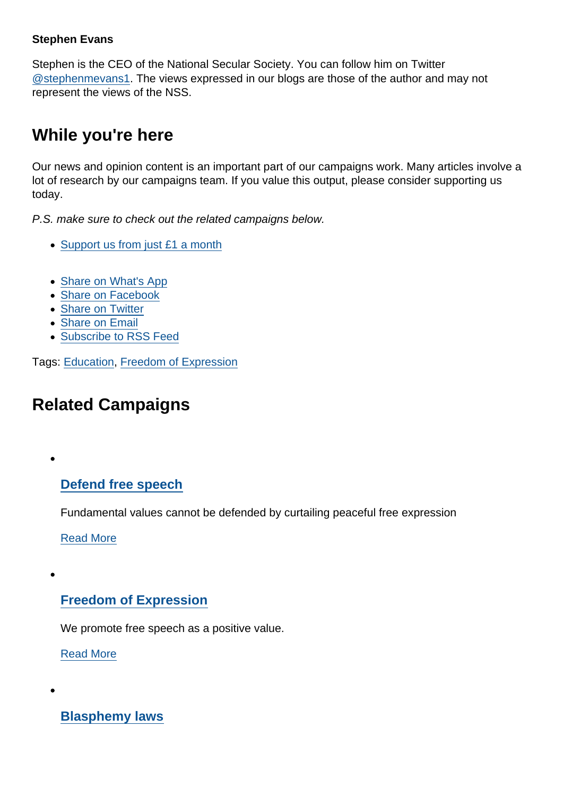#### Stephen Evans

Stephen is the CEO of the National Secular Society. You can follow him on Twitter [@stephenmevans1.](https://twitter.com/stephenmevans1?lang=en-gb) The views expressed in our blogs are those of the author and may not represent the views of the NSS.

### While you're here

Our news and opinion content is an important part of our campaigns work. Many articles involve a lot of research by our campaigns team. If you value this output, please consider supporting us today.

P.S. make sure to check out the related campaigns below.

- [Support us from just £1 a month](https://www.secularism.org.uk/donate.html)
- [Share on What's App](whatsapp://send?text=http://www.secularism.org.uk/opinion/2021/05/the-outcome-of-the-batley-investigation-is-a-surrender-of-liberal-principles?format=pdf)
- [Share on Facebook](https://www.facebook.com/sharer/sharer.php?u=http://www.secularism.org.uk/opinion/2021/05/the-outcome-of-the-batley-investigation-is-a-surrender-of-liberal-principles?format=pdf&t=The+outcome+of+the+Batley+investigation+is+a+surrender+of+liberal+principles)
- [Share on Twitter](https://twitter.com/intent/tweet?url=http://www.secularism.org.uk/opinion/2021/05/the-outcome-of-the-batley-investigation-is-a-surrender-of-liberal-principles?format=pdf&text=The+outcome+of+the+Batley+investigation+is+a+surrender+of+liberal+principles&via=NatSecSoc)
- [Share on Email](https://www.secularism.org.uk/share.html?url=http://www.secularism.org.uk/opinion/2021/05/the-outcome-of-the-batley-investigation-is-a-surrender-of-liberal-principles?format=pdf&title=The+outcome+of+the+Batley+investigation+is+a+surrender+of+liberal+principles)
- [Subscribe to RSS Feed](/mnt/web-data/www/cp-nss/feeds/rss/news)

Tags: [Education,](https://www.secularism.org.uk/opinion/tags/Education) [Freedom of Expression](https://www.secularism.org.uk/opinion/tags/Freedom+of+Expression)

## Related Campaigns

[Defend free speech](https://www.secularism.org.uk/defend-free-speech/)

Fundamental values cannot be defended by curtailing peaceful free expression

[Read More](https://www.secularism.org.uk/defend-free-speech/)

#### [Freedom of Expression](https://www.secularism.org.uk/free-expression/)

We promote free speech as a positive value.

[Read More](https://www.secularism.org.uk/free-expression/)

[Blasphemy laws](https://www.secularism.org.uk/blasphemy/)